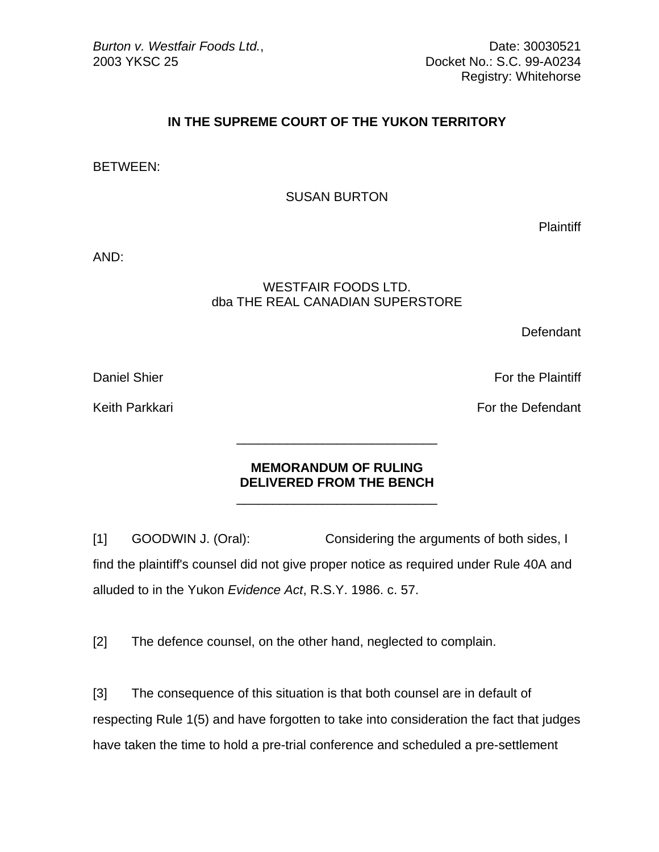Registry: Whitehorse

## **IN THE SUPREME COURT OF THE YUKON TERRITORY**

BETWEEN:

SUSAN BURTON

**Plaintiff** 

AND:

## WESTFAIR FOODS LTD. dba THE REAL CANADIAN SUPERSTORE

**Defendant** 

Daniel Shier For the Plaintiff

Keith Parkkari **For the Defendant** 

## **MEMORANDUM OF RULING DELIVERED FROM THE BENCH**

[1] GOODWIN J. (Oral): Considering the arguments of both sides, I find the plaintiff's counsel did not give proper notice as required under Rule 40A and alluded to in the Yukon *Evidence Act*, R.S.Y. 1986. c. 57.

[2] The defence counsel, on the other hand, neglected to complain.

 $\frac{1}{\sqrt{2}}$  ,  $\frac{1}{\sqrt{2}}$  ,  $\frac{1}{\sqrt{2}}$  ,  $\frac{1}{\sqrt{2}}$  ,  $\frac{1}{\sqrt{2}}$  ,  $\frac{1}{\sqrt{2}}$  ,  $\frac{1}{\sqrt{2}}$  ,  $\frac{1}{\sqrt{2}}$  ,  $\frac{1}{\sqrt{2}}$  ,  $\frac{1}{\sqrt{2}}$  ,  $\frac{1}{\sqrt{2}}$  ,  $\frac{1}{\sqrt{2}}$  ,  $\frac{1}{\sqrt{2}}$  ,  $\frac{1}{\sqrt{2}}$  ,  $\frac{1}{\sqrt{2}}$ 

 $\frac{1}{\sqrt{2}}$  ,  $\frac{1}{\sqrt{2}}$  ,  $\frac{1}{\sqrt{2}}$  ,  $\frac{1}{\sqrt{2}}$  ,  $\frac{1}{\sqrt{2}}$  ,  $\frac{1}{\sqrt{2}}$  ,  $\frac{1}{\sqrt{2}}$  ,  $\frac{1}{\sqrt{2}}$  ,  $\frac{1}{\sqrt{2}}$  ,  $\frac{1}{\sqrt{2}}$  ,  $\frac{1}{\sqrt{2}}$  ,  $\frac{1}{\sqrt{2}}$  ,  $\frac{1}{\sqrt{2}}$  ,  $\frac{1}{\sqrt{2}}$  ,  $\frac{1}{\sqrt{2}}$ 

[3] The consequence of this situation is that both counsel are in default of respecting Rule 1(5) and have forgotten to take into consideration the fact that judges have taken the time to hold a pre-trial conference and scheduled a pre-settlement